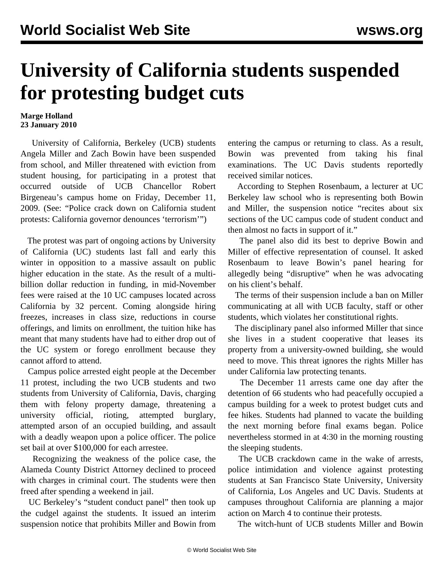## **University of California students suspended for protesting budget cuts**

## **Marge Holland 23 January 2010**

 University of California, Berkeley (UCB) students Angela Miller and Zach Bowin have been suspended from school, and Miller threatened with eviction from student housing, for participating in a protest that occurred outside of UCB Chancellor Robert Birgeneau's campus home on Friday, December 11, 2009. (See: ["Police crack down on California student](/en/articles/2009/dec2009/cali-d14.shtml) [protests: California governor denounces 'terrorism'"](/en/articles/2009/dec2009/cali-d14.shtml))

 The protest was part of ongoing actions by University of California (UC) students last fall and early this winter in opposition to a massive assault on public higher education in the state. As the result of a multibillion dollar reduction in funding, in mid-November fees were raised at the 10 UC campuses located across California by 32 percent. Coming alongside hiring freezes, increases in class size, reductions in course offerings, and limits on enrollment, the tuition hike has meant that many students have had to either drop out of the UC system or forego enrollment because they cannot afford to attend.

 Campus police arrested eight people at the December 11 protest, including the two UCB students and two students from University of California, Davis, charging them with felony property damage, threatening a university official, rioting, attempted burglary, attempted arson of an occupied building, and assault with a deadly weapon upon a police officer. The police set bail at over \$100,000 for each arrestee.

 Recognizing the weakness of the police case, the Alameda County District Attorney declined to proceed with charges in criminal court. The students were then freed after spending a weekend in jail.

 UC Berkeley's "student conduct panel" then took up the cudgel against the students. It issued an interim suspension notice that prohibits Miller and Bowin from entering the campus or returning to class. As a result, Bowin was prevented from taking his final examinations. The UC Davis students reportedly received similar notices.

 According to Stephen Rosenbaum, a lecturer at UC Berkeley law school who is representing both Bowin and Miller, the suspension notice "recites about six sections of the UC campus code of student conduct and then almost no facts in support of it."

 The panel also did its best to deprive Bowin and Miller of effective representation of counsel. It asked Rosenbaum to leave Bowin's panel hearing for allegedly being "disruptive" when he was advocating on his client's behalf.

 The terms of their suspension include a ban on Miller communicating at all with UCB faculty, staff or other students, which violates her constitutional rights.

 The disciplinary panel also informed Miller that since she lives in a student cooperative that leases its property from a university-owned building, she would need to move. This threat ignores the rights Miller has under California law protecting tenants.

 The December 11 arrests came one day after the detention of 66 students who had peacefully occupied a campus building for a week to protest budget cuts and fee hikes. Students had planned to vacate the building the next morning before final exams began. Police nevertheless stormed in at 4:30 in the morning rousting the sleeping students.

 The UCB crackdown came in the wake of arrests, police intimidation and violence against protesting students at San Francisco State University, University of California, Los Angeles and UC Davis. Students at campuses throughout California are planning a major action on March 4 to continue their protests.

The witch-hunt of UCB students Miller and Bowin